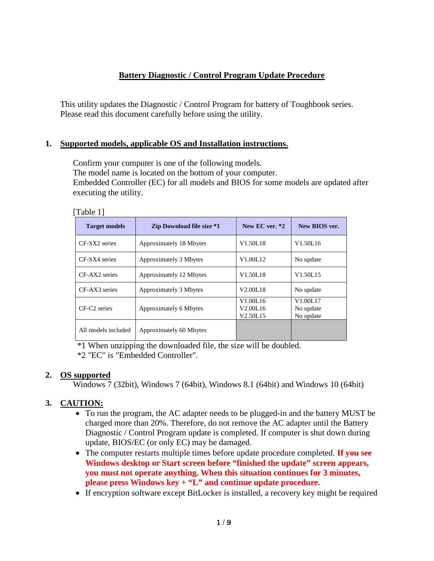### **Battery Diagnostic / Control Program Update Procedure**

This utility updates the Diagnostic / Control Program for battery of Toughbook series. Please read this document carefully before using the utility.

#### **1. Supported models, applicable OS and Installation instructions.**

Confirm your computer is one of the following models. The model name is located on the bottom of your computer. Embedded Controller (EC) for all models and BIOS for some models are updated after executing the utility.

| [Table |  |
|--------|--|
|--------|--|

| <b>Target models</b>     | <b>Zip Download file size *1</b> | New EC ver. $*2$                                                                   | New BIOS ver.                      |  |
|--------------------------|----------------------------------|------------------------------------------------------------------------------------|------------------------------------|--|
| CF-SX2 series            | Approximately 18 Mbytes          | V1.50L18                                                                           | V <sub>1.50L<sub>16</sub></sub>    |  |
| CF-SX4 series            | Approximately 3 Mbytes           | V1.00L12                                                                           | No update                          |  |
| CF-AX2 series            | Approximately 12 Mbytes          | V1.50L18                                                                           | V <sub>1.50</sub> L <sub>15</sub>  |  |
| CF-AX3 series            | Approximately 3 Mbytes           | V <sub>2.00</sub> L <sub>18</sub>                                                  | No update                          |  |
| CF-C <sub>2</sub> series | Approximately 6 Mbytes           | V <sub>1.00</sub> L <sub>16</sub><br>V <sub>2.00</sub> L <sub>16</sub><br>V2.50L15 | V1.00L17<br>No update<br>No update |  |
| All models included      | Approximately 60 Mbytes          |                                                                                    |                                    |  |

 \*1 When unzipping the downloaded file, the size will be doubled. \*2 "EC" is "Embedded Controller".

#### **2. OS supported**

Windows 7 (32bit), Windows 7 (64bit), Windows 8.1 (64bit) and Windows 10 (64bit)

### **3. CAUTION:**

- To run the program, the AC adapter needs to be plugged-in and the battery MUST be charged more than 20%. Therefore, do not remove the AC adapter until the Battery Diagnostic / Control Program update is completed. If computer is shut down during update, BIOS/EC (or only EC) may be damaged.
- The computer restarts multiple times before update procedure completed. **If you see Windows desktop or Start screen before "finished the update" screen appears, you must not operate anything. When this situation continues for 3 minutes, please press Windows key + "L" and continue update procedure.**
- If encryption software except BitLocker is installed, a recovery key might be required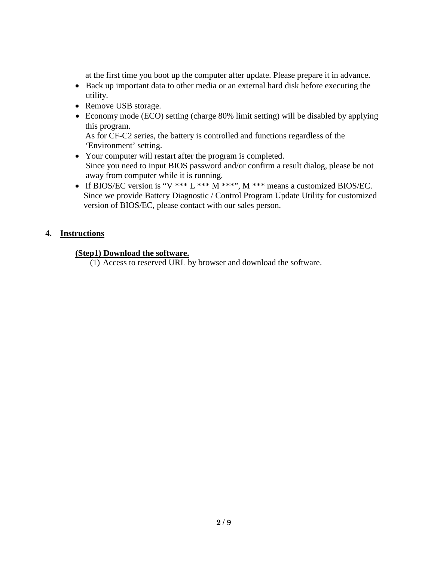at the first time you boot up the computer after update. Please prepare it in advance.

- Back up important data to other media or an external hard disk before executing the utility.
- Remove USB storage.
- Economy mode (ECO) setting (charge 80% limit setting) will be disabled by applying this program. As for CF-C2 series, the battery is controlled and functions regardless of the

'Environment' setting.

- Your computer will restart after the program is completed. Since you need to input BIOS password and/or confirm a result dialog, please be not away from computer while it is running.
- If BIOS/EC version is "V \*\*\* L \*\*\* M \*\*\*", M \*\*\* means a customized BIOS/EC. Since we provide Battery Diagnostic / Control Program Update Utility for customized version of BIOS/EC, please contact with our sales person.

## **4. Instructions**

### **(Step1) Download the software.**

(1) Access to reserved URL by browser and download the software.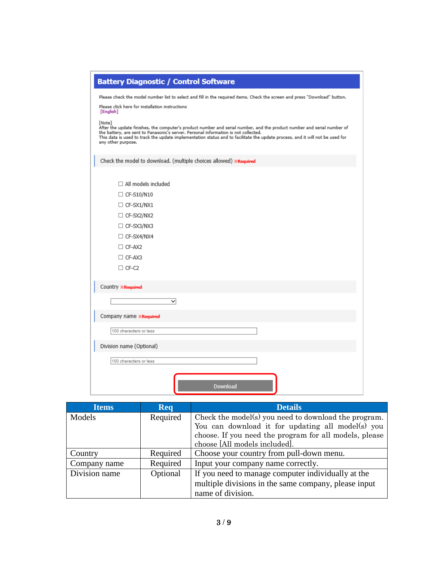|                                                              | <b>Battery Diagnostic / Control Software</b>                                                                                                                                                                                                                                                                                                                                    |  |
|--------------------------------------------------------------|---------------------------------------------------------------------------------------------------------------------------------------------------------------------------------------------------------------------------------------------------------------------------------------------------------------------------------------------------------------------------------|--|
|                                                              | Please check the model number list to select and fill in the required items. Check the screen and press "Download" button.                                                                                                                                                                                                                                                      |  |
| Please click here for installation instructions<br>[English] |                                                                                                                                                                                                                                                                                                                                                                                 |  |
|                                                              | [Note]<br>After the update finishes, the computer's product number and serial number, and the product number and serial number of<br>the battery, are sent to Panasonic's server. Personal information is not collected.<br>This data is used to track the update implementation status and to facilitate the update process, and it will not be used for<br>any other purpose. |  |
|                                                              | Check the model to download. (multiple choices allowed) *Required                                                                                                                                                                                                                                                                                                               |  |
|                                                              | $\Box$ All models included                                                                                                                                                                                                                                                                                                                                                      |  |
|                                                              | $\Box$ CF-S10/N10                                                                                                                                                                                                                                                                                                                                                               |  |
|                                                              | $\Box$ CF-SX1/NX1                                                                                                                                                                                                                                                                                                                                                               |  |
|                                                              | $\Box$ CF-SX2/NX2                                                                                                                                                                                                                                                                                                                                                               |  |
|                                                              | $\Box$ CF-SX3/NX3                                                                                                                                                                                                                                                                                                                                                               |  |
|                                                              | $\Box$ CF-SX4/NX4                                                                                                                                                                                                                                                                                                                                                               |  |
|                                                              | $\Box$ CF-AX2                                                                                                                                                                                                                                                                                                                                                                   |  |
|                                                              | $\Box$ CF-AX3                                                                                                                                                                                                                                                                                                                                                                   |  |
|                                                              | $\Box$ CF-C2                                                                                                                                                                                                                                                                                                                                                                    |  |
|                                                              | Country <b>*Required</b>                                                                                                                                                                                                                                                                                                                                                        |  |
|                                                              | $\checkmark$                                                                                                                                                                                                                                                                                                                                                                    |  |
|                                                              | Company name <b>*Required</b>                                                                                                                                                                                                                                                                                                                                                   |  |
|                                                              | 100 characters or less                                                                                                                                                                                                                                                                                                                                                          |  |
|                                                              | Division name (Optional)                                                                                                                                                                                                                                                                                                                                                        |  |
|                                                              | 100 characters or less                                                                                                                                                                                                                                                                                                                                                          |  |
|                                                              |                                                                                                                                                                                                                                                                                                                                                                                 |  |
|                                                              | Download                                                                                                                                                                                                                                                                                                                                                                        |  |

| <b>Items</b>  | <b>Req</b> | <b>Details</b>                                         |  |
|---------------|------------|--------------------------------------------------------|--|
| Models        | Required   | Check the model(s) you need to download the program.   |  |
|               |            | You can download it for updating all model(s) you      |  |
|               |            | choose. If you need the program for all models, please |  |
|               |            | choose [All models included].                          |  |
| Country       | Required   | Choose your country from pull-down menu.               |  |
| Company name  | Required   | Input your company name correctly.                     |  |
| Division name | Optional   | If you need to manage computer individually at the     |  |
|               |            | multiple divisions in the same company, please input   |  |
|               |            | name of division.                                      |  |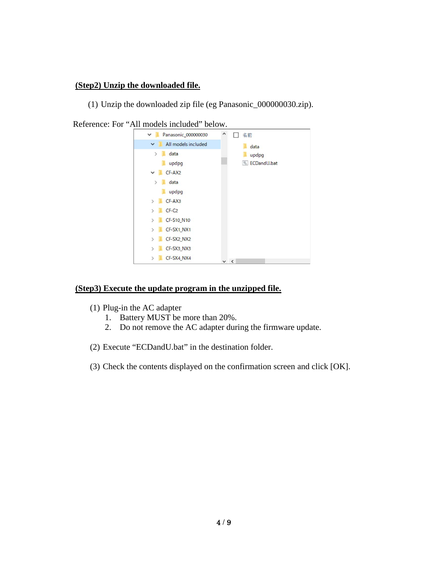### **(Step2) Unzip the downloaded file.**

(1) Unzip the downloaded zip file (eg Panasonic\_000000030.zip).



Reference: For "All models included" below.

#### **(Step3) Execute the update program in the unzipped file.**

- (1) Plug-in the AC adapter
	- 1. Battery MUST be more than 20%.
	- 2. Do not remove the AC adapter during the firmware update.
- (2) Execute "ECDandU.bat" in the destination folder.
- (3) Check the contents displayed on the confirmation screen and click [OK].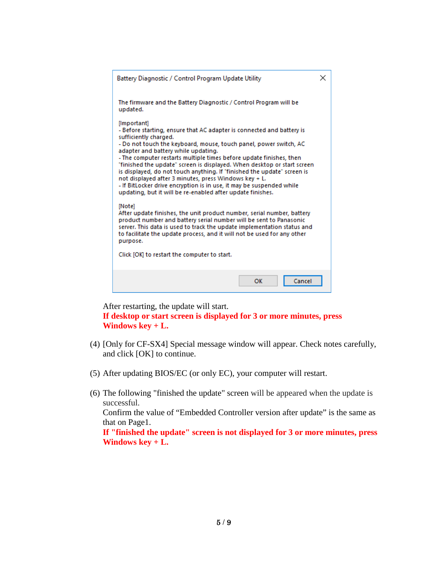| Battery Diagnostic / Control Program Update Utility                                                                                                                                                                                                                                                                                                                                                                                                                                                                                                                                                                                                    | × |  |
|--------------------------------------------------------------------------------------------------------------------------------------------------------------------------------------------------------------------------------------------------------------------------------------------------------------------------------------------------------------------------------------------------------------------------------------------------------------------------------------------------------------------------------------------------------------------------------------------------------------------------------------------------------|---|--|
| The firmware and the Battery Diagnostic / Control Program will be<br>updated.                                                                                                                                                                                                                                                                                                                                                                                                                                                                                                                                                                          |   |  |
| [Important]<br>- Before starting, ensure that AC adapter is connected and battery is<br>sufficiently charged.<br>- Do not touch the keyboard, mouse, touch panel, power switch, AC<br>adapter and battery while updating.<br>- The computer restarts multiple times before update finishes, then<br>"finished the update" screen is displayed. When desktop or start screen'<br>is displayed, do not touch anything. If "finished the update" screen is<br>not displayed after 3 minutes, press Windows key + L.<br>- If BitLocker drive encryption is in use, it may be suspended while<br>updating, but it will be re-enabled after update finishes. |   |  |
| [Note]<br>After update finishes, the unit product number, serial number, battery<br>product number and battery serial number will be sent to Panasonic<br>server. This data is used to track the update implementation status and<br>to facilitate the update process, and it will not be used for any other<br>purpose.<br>Click [OK] to restart the computer to start.                                                                                                                                                                                                                                                                               |   |  |
|                                                                                                                                                                                                                                                                                                                                                                                                                                                                                                                                                                                                                                                        |   |  |
| Cancel<br>ОК                                                                                                                                                                                                                                                                                                                                                                                                                                                                                                                                                                                                                                           |   |  |

After restarting, the update will start. **If desktop or start screen is displayed for 3 or more minutes, press Windows key + L.**

- (4) [Only for CF-SX4] Special message window will appear. Check notes carefully, and click [OK] to continue.
- (5) After updating BIOS/EC (or only EC), your computer will restart.
- (6) The following "finished the update" screen will be appeared when the update is successful. Confirm the value of "Embedded Controller version after update" is the same as that on Page1. **If "finished the update" screen is not displayed for 3 or more minutes, press Windows key + L.**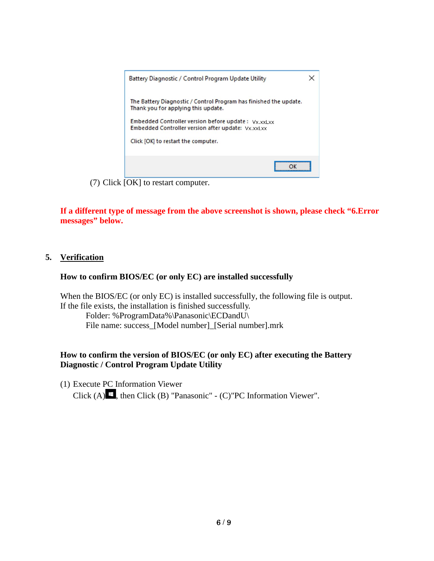

(7) Click [OK] to restart computer.

**If a different type of message from the above screenshot is shown, please check "6.Error messages" below.**

#### **5. Verification**

#### **How to confirm BIOS/EC (or only EC) are installed successfully**

When the BIOS/EC (or only EC) is installed successfully, the following file is output. If the file exists, the installation is finished successfully.

Folder: %ProgramData%\Panasonic\ECDandU\ File name: success\_[Model number]\_[Serial number].mrk

#### **How to confirm the version of BIOS/EC (or only EC) after executing the Battery Diagnostic / Control Program Update Utility**

(1) Execute PC Information Viewer

Click (A)  $\blacksquare$ , then Click (B) "Panasonic" - (C)"PC Information Viewer".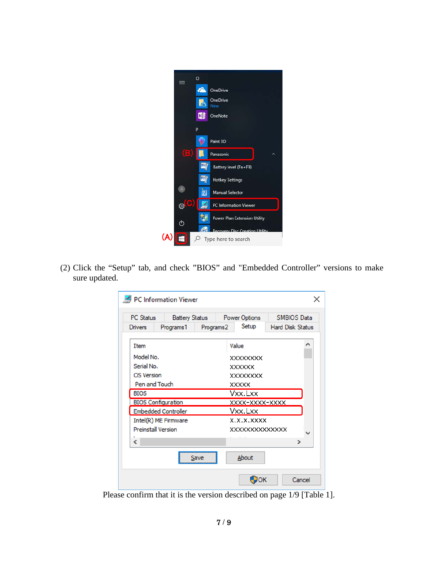

(2) Click the "Setup" tab, and check "BIOS" and "Embedded Controller" versions to make sure updated.

| PC Information Viewer      |                       |           |                       |                         |              |
|----------------------------|-----------------------|-----------|-----------------------|-------------------------|--------------|
| <b>PC</b> Status           | <b>Battery Status</b> |           | <b>Power Options</b>  | <b>SMBIOS Data</b>      |              |
| <b>Drivers</b>             | Programs 1            | Programs2 | Setup                 | <b>Hard Disk Status</b> |              |
| Item                       |                       |           | Value                 |                         |              |
| Model No.                  |                       |           | <b>XXXXXXXX</b>       |                         |              |
| Serial No.                 |                       |           | <b>XXXXXX</b>         |                         |              |
| <b>OS Version</b>          |                       |           | <b>XXXXXXXX</b>       |                         |              |
| Pen and Touch              |                       |           | <b>XXXXX</b>          |                         |              |
| <b>BIOS</b>                |                       |           | Vxx.Lxx               |                         |              |
| <b>BIOS Configuration</b>  |                       |           | XXXX-XXXX-XXXX        |                         |              |
| <b>Embedded Controller</b> |                       |           | Vxx.Lxx               |                         |              |
| Intel(R) ME Firmware       |                       |           | X.X.X.XXXX            |                         |              |
| <b>Preinstall Version</b>  |                       |           | <b>XXXXXXXXXXXXXX</b> |                         | $\checkmark$ |
| $\overline{\phantom{a}}$   |                       |           |                       |                         | ⋗            |
|                            | Save                  |           | About                 |                         |              |
|                            |                       |           | ок                    |                         | Cancel       |

Please confirm that it is the version described on page 1/9 [Table 1].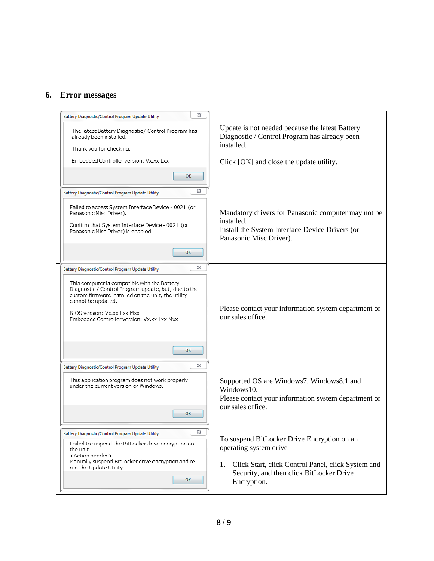# **6. Error messages**

| ⊠<br><b>Battery Diagnostic/Control Program Update Utility</b>                                                                                                                                                                                                 |                                                                                                                                      |
|---------------------------------------------------------------------------------------------------------------------------------------------------------------------------------------------------------------------------------------------------------------|--------------------------------------------------------------------------------------------------------------------------------------|
| The latest Battery Diagnostic/ Control Program has<br>already been installed.<br>Thank you for checking.                                                                                                                                                      | Update is not needed because the latest Battery<br>Diagnostic / Control Program has already been<br>installed.                       |
| Embedded Controller version: Vx.xx Lxx                                                                                                                                                                                                                        | Click [OK] and close the update utility.                                                                                             |
| ОΚ                                                                                                                                                                                                                                                            |                                                                                                                                      |
| ⊠<br><b>Battery Diagnostic/Control Program Update Utility</b>                                                                                                                                                                                                 |                                                                                                                                      |
| Failed to access System Interface Device - 0021 (or<br>Panasonic Misc Driver).                                                                                                                                                                                | Mandatory drivers for Panasonic computer may not be                                                                                  |
| Confirm that System Interface Device - 0021 (or<br>Panasonic Misc Driver) is enabled.                                                                                                                                                                         | installed.<br>Install the System Interface Device Drivers (or<br>Panasonic Misc Driver).                                             |
| ОΚ                                                                                                                                                                                                                                                            |                                                                                                                                      |
| ⊠<br>Battery Diagnostic/Control Program Update Utility                                                                                                                                                                                                        |                                                                                                                                      |
| This computer is compatible with the Battery<br>Diagnostic / Control Program update, but, due to the<br>custom firmware installed on the unit, the utility<br>cannot be updated.<br>BIOS version: Vx.xx Lxx Mxx<br>Embedded Controller version: Vx.xx Lxx Mxx | Please contact your information system department or<br>our sales office.                                                            |
| ОΚ                                                                                                                                                                                                                                                            |                                                                                                                                      |
| ⊠<br>Battery Diagnostic/Control Program Update Utility                                                                                                                                                                                                        |                                                                                                                                      |
| This application program does not work properly<br>under the current version of Windows.                                                                                                                                                                      | Supported OS are Windows7, Windows8.1 and<br>Windows10.<br>Please contact your information system department or<br>our sales office. |
| ОΚ                                                                                                                                                                                                                                                            |                                                                                                                                      |
| ⊠<br>Battery Diagnostic/Control Program Update Utility                                                                                                                                                                                                        | To suspend BitLocker Drive Encryption on an                                                                                          |
| Failed to suspend the BitLocker drive encryption on<br>the unit.                                                                                                                                                                                              | operating system drive                                                                                                               |
| <action needed=""><br/>Manually suspend BitLocker drive encryption and re-<br/>run the Update Utility.<br/>ОК</action>                                                                                                                                        | Click Start, click Control Panel, click System and<br>1.<br>Security, and then click BitLocker Drive<br>Encryption.                  |